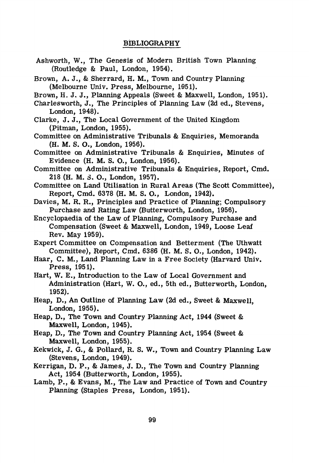## **BIBLIOGRAPHY**

- Ashworth, W., The Genesis of Modern British Town Planning (Routledge & Paul, London, 1954).
- Brown, A. J., &\_Sherrard, **H. M.,** Town and Country Planning (Melbourne Univ. Press, Melbourne, 1951).
- Brown, H. J. J., Planning Appeals (Sweet & Maxwell, London, 1951).
- Charlesworth, J., The Principles of Planning Law (2d ed., Stevens, London, 1948).
- Clarke, J. J., The Local Government of the United Kingdom (Pitman, London, 1955).
- Committee on Administrative Tribunals & Enquiries, Memoranda (H. M. S. O., London, 1956).
- Committee on Administrative Tribunals & Enquiries, Minutes of Evidence (H. M. S. O., London, 1956).
- Committee on Administrative Tribunals & Enquiries, Report, Cmd. 218 (H. M. *S.* O., London, 1957).
- Committee on Land Utilisation in Rural Areas (The Scott Committee), Report, Cmd. 6378 (H. M. S. O., London, 1942).
- Davies, M. R.R., Principles and Practice of Planning; Compulsory Purchase and Rating Law (Butterworth, London, 1956).
- Encyclopaedia of the Law of Planning, Compulsory Purchase and Compensation (Sweet & Maxwell, London, 1949, Loose Leaf Rev. May 1959).
- Expert Committee on Compensation and Betterment (The Uthwatt Committee), Report, Cmd. 6386 (H. M. S. O., London, 1942).
- Haar, C. M., Land Planning Law in a Free Society (Harvard Univ. Press, 1951).
- Hart, W. E., Introduction to the Law of Local Government and Administration (Hart, W. 0., ed., 5th ed., Butterworth, London, 1952).
- Heap, D., An Outline of Planning Law (2d ed., Sweet & Maxwell, London, 1955).
- Heap, D., The Town and Country Planning Act, 1944 (Sweet & Maxwell, London, 1945).
- Heap, D., The Town and Country Planning Act, 1954 (Sweet & Maxwell, London, 1955).
- Kekwick, J. G., & Pollard, R. S. W., Town and Country Planning Law (Stevens, London, 1949).
- Kerrigan, D. P., & James, J. D., The Town and Country Planning Act, 1954 (Butterworth, London, 1955).
- Lamb, P., & Evans, M., The Law and Practice of Town and Country Planning (Staples Press, London, 1951).